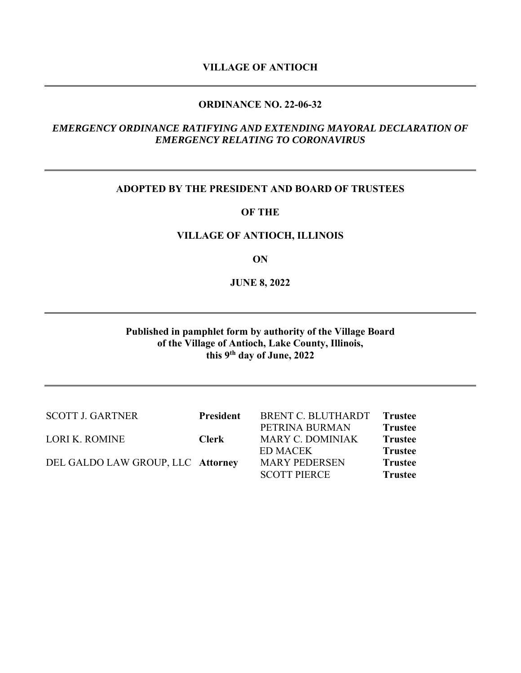## **VILLAGE OF ANTIOCH**

#### **ORDINANCE NO. 22-06-32**

## *EMERGENCY ORDINANCE RATIFYING AND EXTENDING MAYORAL DECLARATION OF EMERGENCY RELATING TO CORONAVIRUS*

#### **ADOPTED BY THE PRESIDENT AND BOARD OF TRUSTEES**

### **OF THE**

## **VILLAGE OF ANTIOCH, ILLINOIS**

**ON** 

#### **JUNE 8, 2022**

## **Published in pamphlet form by authority of the Village Board of the Village of Antioch, Lake County, Illinois, this 9th day of June, 2022**

| <b>SCOTT J. GARTNER</b>           | <b>President</b> | BRENT C. BLUTHARDT      | <b>Trustee</b> |
|-----------------------------------|------------------|-------------------------|----------------|
|                                   |                  | PETRINA BURMAN          | <b>Trustee</b> |
| <b>LORI K. ROMINE</b>             | <b>Clerk</b>     | <b>MARY C. DOMINIAK</b> | <b>Trustee</b> |
|                                   |                  | ED MACEK                | <b>Trustee</b> |
| DEL GALDO LAW GROUP, LLC Attorney |                  | <b>MARY PEDERSEN</b>    | <b>Trustee</b> |
|                                   |                  | <b>SCOTT PIERCE</b>     | <b>Trustee</b> |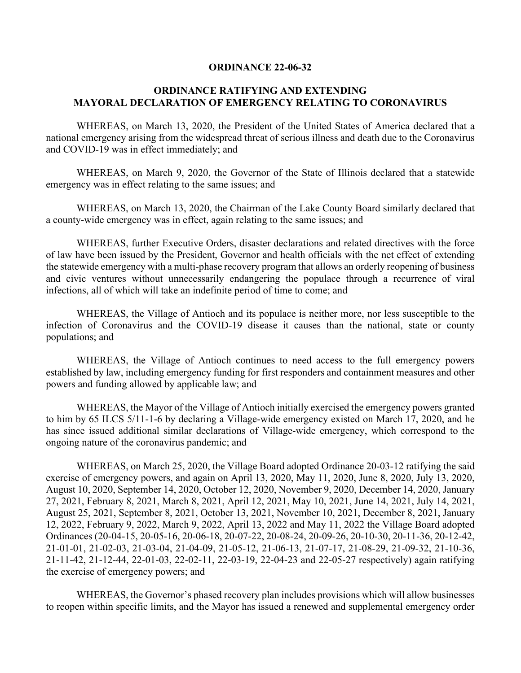#### **ORDINANCE 22-06-32**

### **ORDINANCE RATIFYING AND EXTENDING MAYORAL DECLARATION OF EMERGENCY RELATING TO CORONAVIRUS**

WHEREAS, on March 13, 2020, the President of the United States of America declared that a national emergency arising from the widespread threat of serious illness and death due to the Coronavirus and COVID-19 was in effect immediately; and

WHEREAS, on March 9, 2020, the Governor of the State of Illinois declared that a statewide emergency was in effect relating to the same issues; and

WHEREAS, on March 13, 2020, the Chairman of the Lake County Board similarly declared that a county-wide emergency was in effect, again relating to the same issues; and

WHEREAS, further Executive Orders, disaster declarations and related directives with the force of law have been issued by the President, Governor and health officials with the net effect of extending the statewide emergency with a multi-phase recovery program that allows an orderly reopening of business and civic ventures without unnecessarily endangering the populace through a recurrence of viral infections, all of which will take an indefinite period of time to come; and

WHEREAS, the Village of Antioch and its populace is neither more, nor less susceptible to the infection of Coronavirus and the COVID-19 disease it causes than the national, state or county populations; and

WHEREAS, the Village of Antioch continues to need access to the full emergency powers established by law, including emergency funding for first responders and containment measures and other powers and funding allowed by applicable law; and

WHEREAS, the Mayor of the Village of Antioch initially exercised the emergency powers granted to him by 65 ILCS 5/11-1-6 by declaring a Village-wide emergency existed on March 17, 2020, and he has since issued additional similar declarations of Village-wide emergency, which correspond to the ongoing nature of the coronavirus pandemic; and

WHEREAS, on March 25, 2020, the Village Board adopted Ordinance 20-03-12 ratifying the said exercise of emergency powers, and again on April 13, 2020, May 11, 2020, June 8, 2020, July 13, 2020, August 10, 2020, September 14, 2020, October 12, 2020, November 9, 2020, December 14, 2020, January 27, 2021, February 8, 2021, March 8, 2021, April 12, 2021, May 10, 2021, June 14, 2021, July 14, 2021, August 25, 2021, September 8, 2021, October 13, 2021, November 10, 2021, December 8, 2021, January 12, 2022, February 9, 2022, March 9, 2022, April 13, 2022 and May 11, 2022 the Village Board adopted Ordinances (20-04-15, 20-05-16, 20-06-18, 20-07-22, 20-08-24, 20-09-26, 20-10-30, 20-11-36, 20-12-42, 21-01-01, 21-02-03, 21-03-04, 21-04-09, 21-05-12, 21-06-13, 21-07-17, 21-08-29, 21-09-32, 21-10-36, 21-11-42, 21-12-44, 22-01-03, 22-02-11, 22-03-19, 22-04-23 and 22-05-27 respectively) again ratifying the exercise of emergency powers; and

WHEREAS, the Governor's phased recovery plan includes provisions which will allow businesses to reopen within specific limits, and the Mayor has issued a renewed and supplemental emergency order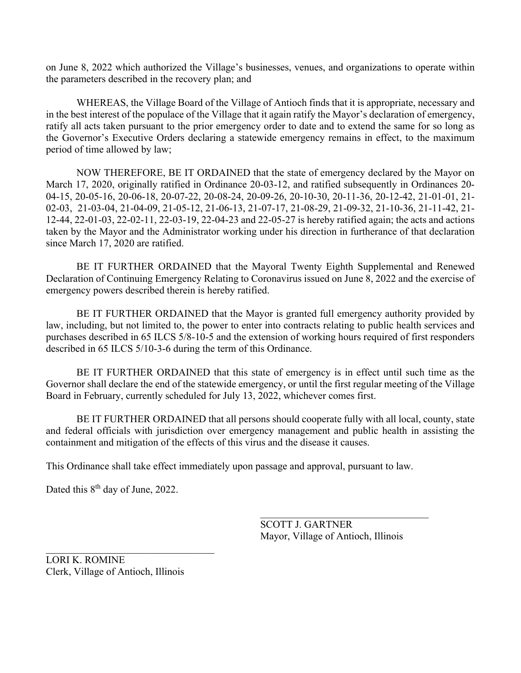on June 8, 2022 which authorized the Village's businesses, venues, and organizations to operate within the parameters described in the recovery plan; and

WHEREAS, the Village Board of the Village of Antioch finds that it is appropriate, necessary and in the best interest of the populace of the Village that it again ratify the Mayor's declaration of emergency, ratify all acts taken pursuant to the prior emergency order to date and to extend the same for so long as the Governor's Executive Orders declaring a statewide emergency remains in effect, to the maximum period of time allowed by law;

NOW THEREFORE, BE IT ORDAINED that the state of emergency declared by the Mayor on March 17, 2020, originally ratified in Ordinance 20-03-12, and ratified subsequently in Ordinances 20- 04-15, 20-05-16, 20-06-18, 20-07-22, 20-08-24, 20-09-26, 20-10-30, 20-11-36, 20-12-42, 21-01-01, 21- 02-03, 21-03-04, 21-04-09, 21-05-12, 21-06-13, 21-07-17, 21-08-29, 21-09-32, 21-10-36, 21-11-42, 21- 12-44, 22-01-03, 22-02-11, 22-03-19, 22-04-23 and 22-05-27 is hereby ratified again; the acts and actions taken by the Mayor and the Administrator working under his direction in furtherance of that declaration since March 17, 2020 are ratified.

BE IT FURTHER ORDAINED that the Mayoral Twenty Eighth Supplemental and Renewed Declaration of Continuing Emergency Relating to Coronavirus issued on June 8, 2022 and the exercise of emergency powers described therein is hereby ratified.

BE IT FURTHER ORDAINED that the Mayor is granted full emergency authority provided by law, including, but not limited to, the power to enter into contracts relating to public health services and purchases described in 65 ILCS 5/8-10-5 and the extension of working hours required of first responders described in 65 ILCS 5/10-3-6 during the term of this Ordinance.

BE IT FURTHER ORDAINED that this state of emergency is in effect until such time as the Governor shall declare the end of the statewide emergency, or until the first regular meeting of the Village Board in February, currently scheduled for July 13, 2022, whichever comes first.

BE IT FURTHER ORDAINED that all persons should cooperate fully with all local, county, state and federal officials with jurisdiction over emergency management and public health in assisting the containment and mitigation of the effects of this virus and the disease it causes.

This Ordinance shall take effect immediately upon passage and approval, pursuant to law.

Dated this 8<sup>th</sup> day of June, 2022.

SCOTT J. GARTNER Mayor, Village of Antioch, Illinois

LORI K. ROMINE Clerk, Village of Antioch, Illinois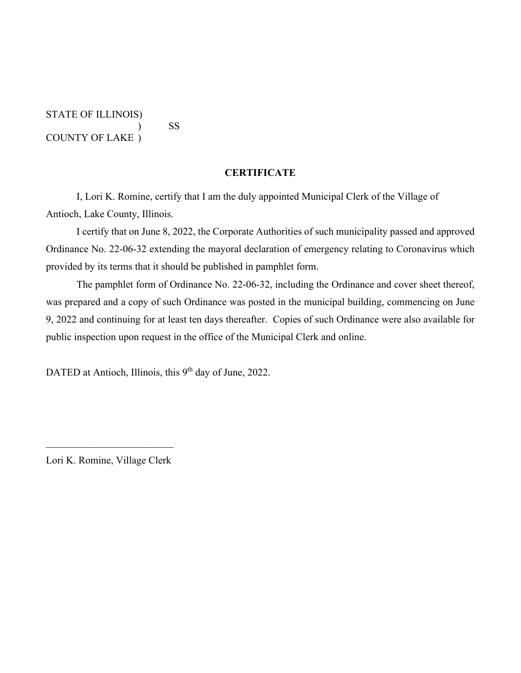### STATE OF ILLINOIS) ) SS COUNTY OF LAKE )

### **CERTIFICATE**

 I, Lori K. Romine, certify that I am the duly appointed Municipal Clerk of the Village of Antioch, Lake County, Illinois.

 I certify that on June 8, 2022, the Corporate Authorities of such municipality passed and approved Ordinance No. 22-06-32 extending the mayoral declaration of emergency relating to Coronavirus which provided by its terms that it should be published in pamphlet form.

 The pamphlet form of Ordinance No. 22-06-32, including the Ordinance and cover sheet thereof, was prepared and a copy of such Ordinance was posted in the municipal building, commencing on June 9, 2022 and continuing for at least ten days thereafter. Copies of such Ordinance were also available for public inspection upon request in the office of the Municipal Clerk and online.

DATED at Antioch, Illinois, this 9<sup>th</sup> day of June, 2022.

Lori K. Romine, Village Clerk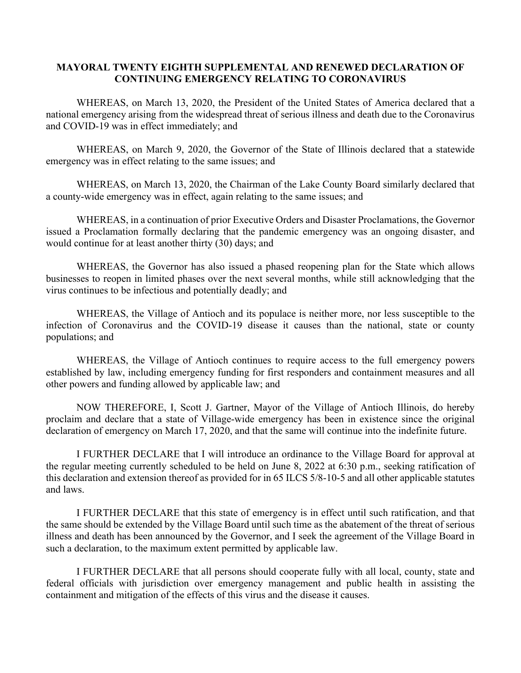### **MAYORAL TWENTY EIGHTH SUPPLEMENTAL AND RENEWED DECLARATION OF CONTINUING EMERGENCY RELATING TO CORONAVIRUS**

WHEREAS, on March 13, 2020, the President of the United States of America declared that a national emergency arising from the widespread threat of serious illness and death due to the Coronavirus and COVID-19 was in effect immediately; and

WHEREAS, on March 9, 2020, the Governor of the State of Illinois declared that a statewide emergency was in effect relating to the same issues; and

WHEREAS, on March 13, 2020, the Chairman of the Lake County Board similarly declared that a county-wide emergency was in effect, again relating to the same issues; and

WHEREAS, in a continuation of prior Executive Orders and Disaster Proclamations, the Governor issued a Proclamation formally declaring that the pandemic emergency was an ongoing disaster, and would continue for at least another thirty (30) days; and

WHEREAS, the Governor has also issued a phased reopening plan for the State which allows businesses to reopen in limited phases over the next several months, while still acknowledging that the virus continues to be infectious and potentially deadly; and

WHEREAS, the Village of Antioch and its populace is neither more, nor less susceptible to the infection of Coronavirus and the COVID-19 disease it causes than the national, state or county populations; and

WHEREAS, the Village of Antioch continues to require access to the full emergency powers established by law, including emergency funding for first responders and containment measures and all other powers and funding allowed by applicable law; and

NOW THEREFORE, I, Scott J. Gartner, Mayor of the Village of Antioch Illinois, do hereby proclaim and declare that a state of Village-wide emergency has been in existence since the original declaration of emergency on March 17, 2020, and that the same will continue into the indefinite future.

I FURTHER DECLARE that I will introduce an ordinance to the Village Board for approval at the regular meeting currently scheduled to be held on June 8, 2022 at 6:30 p.m., seeking ratification of this declaration and extension thereof as provided for in 65 ILCS 5/8-10-5 and all other applicable statutes and laws.

I FURTHER DECLARE that this state of emergency is in effect until such ratification, and that the same should be extended by the Village Board until such time as the abatement of the threat of serious illness and death has been announced by the Governor, and I seek the agreement of the Village Board in such a declaration, to the maximum extent permitted by applicable law.

I FURTHER DECLARE that all persons should cooperate fully with all local, county, state and federal officials with jurisdiction over emergency management and public health in assisting the containment and mitigation of the effects of this virus and the disease it causes.